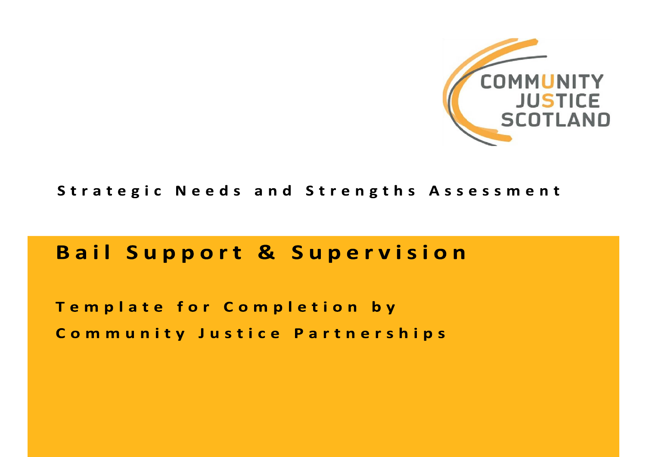

## Strategic Needs and Strengths Assessment

# **Bail Support & Supervision**

Template for Completion by Community Justice Partnerships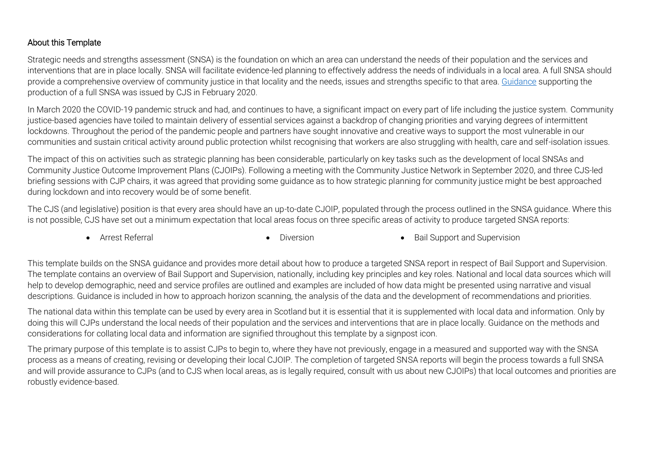#### About this Template

Strategic needs and strengths assessment (SNSA) is the foundation on which an area can understand the needs of their population and the services and interventions that are in place locally. SNSA will facilitate evidence-led planning to effectively address the needs of individuals in a local area. A full SNSA should provide a comprehensive overview of community justice in that locality and the needs, issues and strengths specific to that area[. Guidance](https://communityjustice.scot/reports_and_stats/strategic-needs-and-strengths-assessment-guidance/) supporting the production of a full SNSA was issued by CJS in February 2020.

In March 2020 the COVID-19 pandemic struck and had, and continues to have, a significant impact on every part of life including the justice system. Community justice-based agencies have toiled to maintain delivery of essential services against a backdrop of changing priorities and varying degrees of intermittent lockdowns. Throughout the period of the pandemic people and partners have sought innovative and creative ways to support the most vulnerable in our communities and sustain critical activity around public protection whilst recognising that workers are also struggling with health, care and self-isolation issues.

The impact of this on activities such as strategic planning has been considerable, particularly on key tasks such as the development of local SNSAs and Community Justice Outcome Improvement Plans (CJOIPs). Following a meeting with the Community Justice Network in September 2020, and three CJS-led briefing sessions with CJP chairs, it was agreed that providing some guidance as to how strategic planning for community justice might be best approached during lockdown and into recovery would be of some benefit.

The CJS (and legislative) position is that every area should have an up-to-date CJOIP, populated through the process outlined in the SNSA guidance. Where this is not possible, CJS have set out a minimum expectation that local areas focus on three specific areas of activity to produce targeted SNSA reports:

• Arrest Referral **Contract Contract Contract Contract Contract Contract Contract Contract Contract Contract Contract Contract Contract Contract Contract Contract Contract Contract Contract Contract Contract Contract Contr** 

This template builds on the SNSA guidance and provides more detail about how to produce a targeted SNSA report in respect of Bail Support and Supervision. The template contains an overview of Bail Support and Supervision, nationally, including key principles and key roles. National and local data sources which will help to develop demographic, need and service profiles are outlined and examples are included of how data might be presented using narrative and visual descriptions. Guidance is included in how to approach horizon scanning, the analysis of the data and the development of recommendations and priorities.

The national data within this template can be used by every area in Scotland but it is essential that it is supplemented with local data and information. Only by doing this will CJPs understand the local needs of their population and the services and interventions that are in place locally. Guidance on the methods and considerations for collating local data and information are signified throughout this template by a signpost icon.

The primary purpose of this template is to assist CJPs to begin to, where they have not previously, engage in a measured and supported way with the SNSA process as a means of creating, revising or developing their local CJOIP. The completion of targeted SNSA reports will begin the process towards a full SNSA and will provide assurance to CJPs (and to CJS when local areas, as is legally required, consult with us about new CJOIPs) that local outcomes and priorities are robustly evidence-based.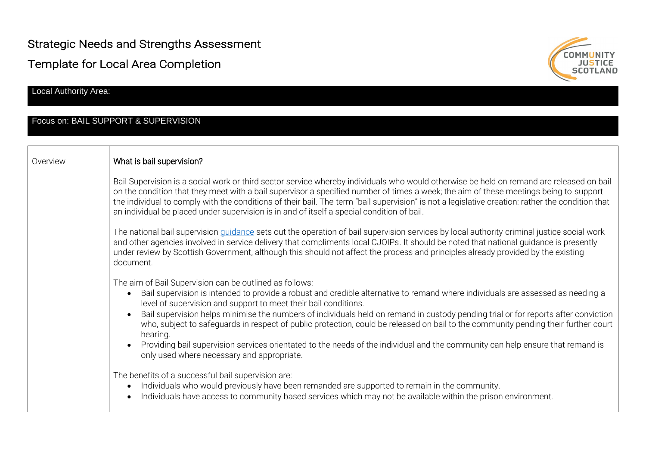Strategic Needs and Strengths Assessment

Template for Local Area Completion

Local Authority Area:

#### Focus on: BAIL SUPPORT & SUPERVISION



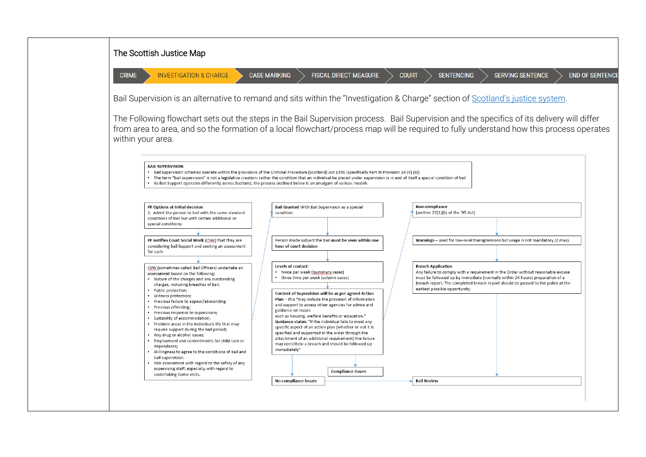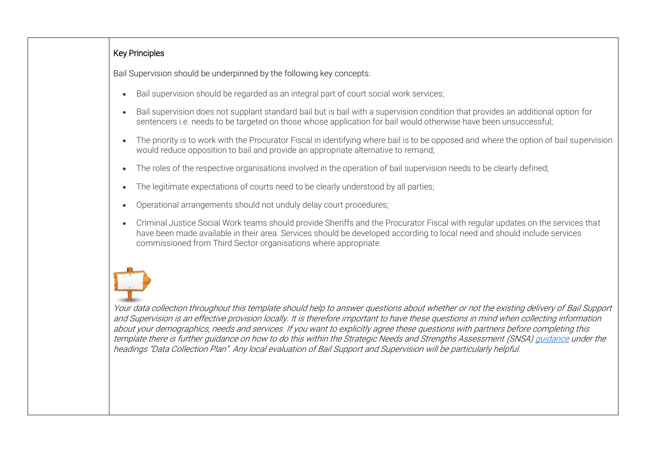### Key Principles

Bail Supervision should be underpinned by the following key concepts:

- Bail supervision should be regarded as an integral part of court social work services;
- Bail supervision does not supplant standard bail but is bail with a supervision condition that provides an additional option for sentencers i.e. needs to be targeted on those whose application for bail would otherwise have been unsuccessful;
- The priority is to work with the Procurator Fiscal in identifying where bail is to be opposed and where the option of bail supervision would reduce opposition to bail and provide an appropriate alternative to remand;
- The roles of the respective organisations involved in the operation of bail supervision needs to be clearly defined;
- The legitimate expectations of courts need to be clearly understood by all parties:
- Operational arrangements should not unduly delay court procedures;
- Criminal Justice Social Work teams should provide Sheriffs and the Procurator Fiscal with regular updates on the services that have been made available in their area. Services should be developed according to local need and should include services commissioned from Third Sector organisations where appropriate.

Your data collection throughout this template should help to answer questions about whether or not the existing delivery of Bail Support and Supervision is an effective provision locally. It is therefore important to have these questions in mind when collecting information about your demographics, needs and services. If you want to explicitly agree these questions with partners before completing this template there is further guidance on how to do this within the Strategic Needs and Strengths Assessment (SNSA) [guidance](https://communityjustice.scot/wp-content/uploads/2020/02/Strategic-Needs-and-Strengths-Assessment-guidance-document-Feb-2020.pdf) under the headings "Data Collection Plan". Any local evaluation of Bail Support and Supervision will be particularly helpful.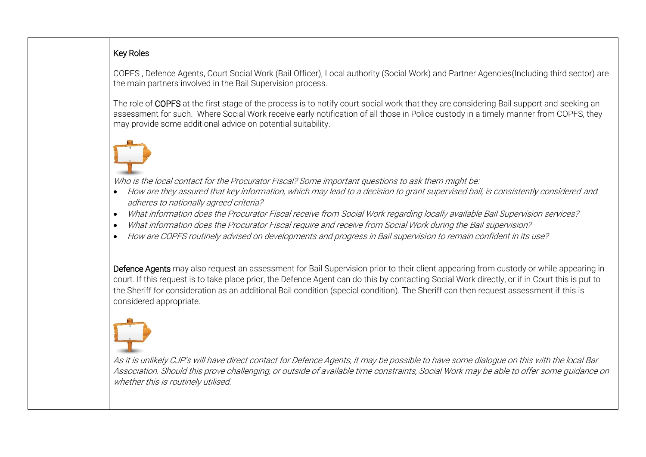### Key Roles

COPFS , Defence Agents, Court Social Work (Bail Officer), Local authority (Social Work) and Partner Agencies(Including third sector) are the main partners involved in the Bail Supervision process.

The role of COPFS at the first stage of the process is to notify court social work that they are considering Bail support and seeking an assessment for such. Where Social Work receive early notification of all those in Police custody in a timely manner from COPFS, they may provide some additional advice on potential suitability.

Who is the local contact for the Procurator Fiscal? Some important questions to ask them might be:

- How are they assured that key information, which may lead to a decision to grant supervised bail, is consistently considered and adheres to nationally agreed criteria?
- What information does the Procurator Fiscal receive from Social Work regarding locally available Bail Supervision services?
- What information does the Procurator Fiscal require and receive from Social Work during the Bail supervision?
- How are COPFS routinely advised on developments and progress in Bail supervision to remain confident in its use?

Defence Agents may also request an assessment for Bail Supervision prior to their client appearing from custody or while appearing in court. If this request is to take place prior, the Defence Agent can do this by contacting Social Work directly, or if in Court this is put to the Sheriff for consideration as an additional Bail condition (special condition). The Sheriff can then request assessment if this is considered appropriate.

As it is unlikely CJP's will have direct contact for Defence Agents, it may be possible to have some dialogue on this with the local Bar Association. Should this prove challenging, or outside of available time constraints, Social Work may be able to offer some guidance on whether this is routinely utilised.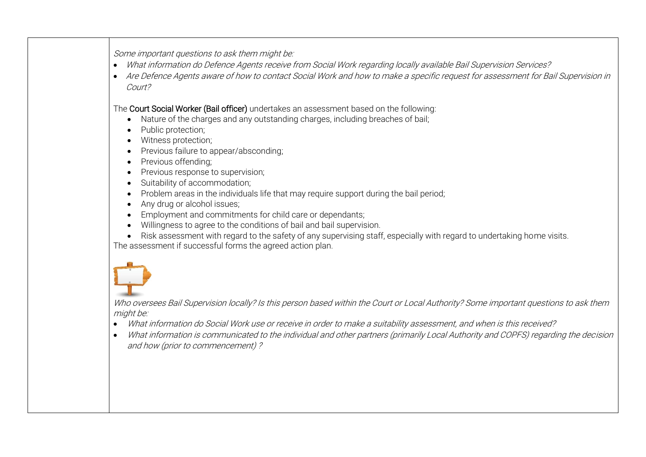Some important questions to ask them might be:

- What information do Defence Agents receive from Social Work regarding locally available Bail Supervision Services?
- Are Defence Agents aware of how to contact Social Work and how to make a specific request for assessment for Bail Supervision in Court?

The Court Social Worker (Bail officer) undertakes an assessment based on the following:

- Nature of the charges and any outstanding charges, including breaches of bail;
- Public protection;
- Witness protection;
- Previous failure to appear/absconding;
- Previous offending;
- Previous response to supervision;
- Suitability of accommodation;
- Problem areas in the individuals life that may require support during the bail period:
- Any drug or alcohol issues;
- Employment and commitments for child care or dependants;
- Willingness to agree to the conditions of bail and bail supervision.
- Risk assessment with regard to the safety of any supervising staff, especially with regard to undertaking home visits. The assessment if successful forms the agreed action plan.



Who oversees Bail Supervision locally? Is this person based within the Court or Local Authority? Some important questions to ask them might be:

- What information do Social Work use or receive in order to make a suitability assessment, and when is this received?
- What information is communicated to the individual and other partners (primarily Local Authority and COPFS) regarding the decision and how (prior to commencement) ?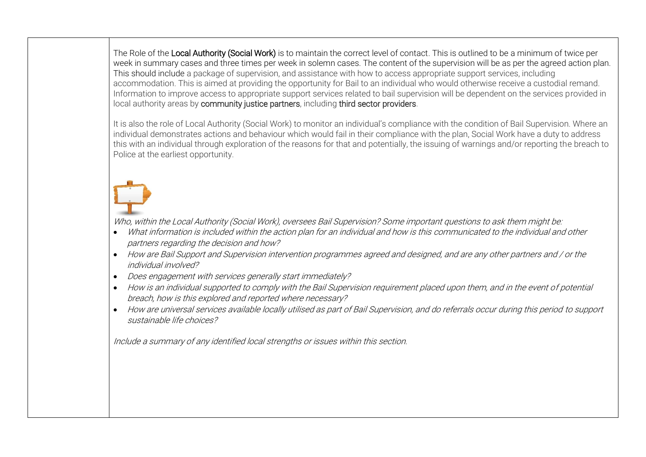The Role of the Local Authority (Social Work) is to maintain the correct level of contact. This is outlined to be a minimum of twice per week in summary cases and three times per week in solemn cases. The content of the supervision will be as per the agreed action plan. This should include a package of supervision, and assistance with how to access appropriate support services, including accommodation. This is aimed at providing the opportunity for Bail to an individual who would otherwise receive a custodial remand. Information to improve access to appropriate support services related to bail supervision will be dependent on the services provided in local authority areas by community justice partners, including third sector providers.

It is also the role of Local Authority (Social Work) to monitor an individual's compliance with the condition of Bail Supervision. Where an individual demonstrates actions and behaviour which would fail in their compliance with the plan, Social Work have a duty to address this with an individual through exploration of the reasons for that and potentially, the issuing of warnings and/or reporting the breach to Police at the earliest opportunity.



Who, within the Local Authority (Social Work), oversees Bail Supervision? Some important questions to ask them might be:

- What information is included within the action plan for an individual and how is this communicated to the individual and other partners regarding the decision and how?
- How are Bail Support and Supervision intervention programmes agreed and designed, and are any other partners and / or the individual involved?
- Does engagement with services generally start immediately?
- How is an individual supported to comply with the Bail Supervision requirement placed upon them, and in the event of potential breach, how is this explored and reported where necessary?
- How are universal services available locally utilised as part of Bail Supervision, and do referrals occur during this period to support sustainable life choices?

Include a summary of any identified local strengths or issues within this section.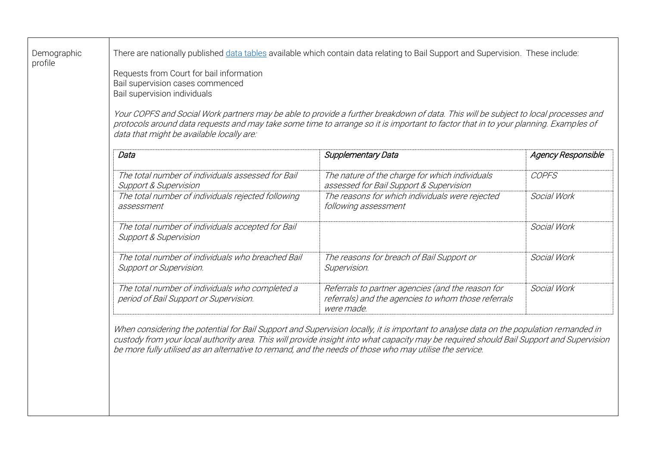| Demographic<br>profile | There are nationally published data tables available which contain data relating to Bail Support and Supervision. These include:<br>Requests from Court for bail information<br>Bail supervision cases commenced<br>Bail supervision individuals<br>Your COPFS and Social Work partners may be able to provide a further breakdown of data. This will be subject to local processes and<br>protocols around data requests and may take some time to arrange so it is important to factor that in to your planning. Examples of<br>data that might be available locally are: |                                                                                                                                                                                                                                                                                    |                                                                                 |  |  |  |  |  |
|------------------------|-----------------------------------------------------------------------------------------------------------------------------------------------------------------------------------------------------------------------------------------------------------------------------------------------------------------------------------------------------------------------------------------------------------------------------------------------------------------------------------------------------------------------------------------------------------------------------|------------------------------------------------------------------------------------------------------------------------------------------------------------------------------------------------------------------------------------------------------------------------------------|---------------------------------------------------------------------------------|--|--|--|--|--|
|                        | Data                                                                                                                                                                                                                                                                                                                                                                                                                                                                                                                                                                        | Supplementary Data                                                                                                                                                                                                                                                                 | <b>Agency Responsible</b><br>COPFS<br>Social Work<br>Social Work<br>Social Work |  |  |  |  |  |
|                        | The total number of individuals assessed for Bail<br><b>Support &amp; Supervision</b>                                                                                                                                                                                                                                                                                                                                                                                                                                                                                       | The nature of the charge for which individuals<br>assessed for Bail Support & Supervision                                                                                                                                                                                          |                                                                                 |  |  |  |  |  |
|                        | The total number of individuals rejected following<br>assessment                                                                                                                                                                                                                                                                                                                                                                                                                                                                                                            | The reasons for which individuals were rejected<br>following assessment                                                                                                                                                                                                            |                                                                                 |  |  |  |  |  |
|                        | The total number of individuals accepted for Bail<br><b>Support &amp; Supervision</b>                                                                                                                                                                                                                                                                                                                                                                                                                                                                                       |                                                                                                                                                                                                                                                                                    |                                                                                 |  |  |  |  |  |
|                        | The total number of individuals who breached Bail<br>Support or Supervision.                                                                                                                                                                                                                                                                                                                                                                                                                                                                                                | The reasons for breach of Bail Support or<br>Supervision.                                                                                                                                                                                                                          |                                                                                 |  |  |  |  |  |
|                        | The total number of individuals who completed a<br>period of Bail Support or Supervision.                                                                                                                                                                                                                                                                                                                                                                                                                                                                                   | Referrals to partner agencies (and the reason for<br>referrals) and the agencies to whom those referrals<br>were made.                                                                                                                                                             | Social Work                                                                     |  |  |  |  |  |
|                        | be more fully utilised as an alternative to remand, and the needs of those who may utilise the service.                                                                                                                                                                                                                                                                                                                                                                                                                                                                     | When considering the potential for Bail Support and Supervision locally, it is important to analyse data on the population remanded in<br>custody from your local authority area. This will provide insight into what capacity may be required should Bail Support and Supervision |                                                                                 |  |  |  |  |  |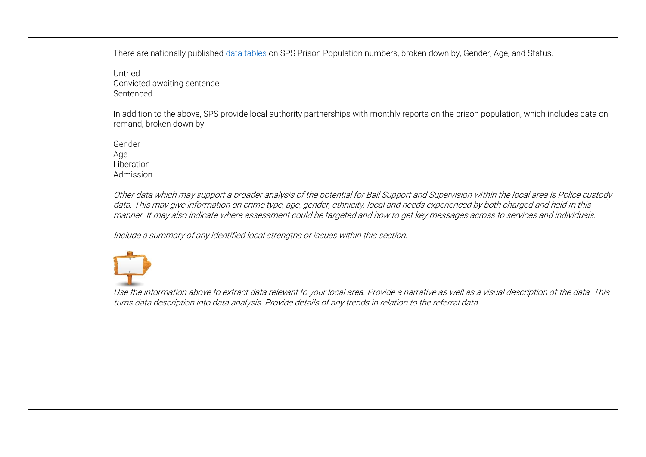There are nationally published [data tables](https://www.sps.gov.uk/Corporate/Information/SPSPopulation.aspx) on SPS Prison Population numbers, broken down by, Gender, Age, and Status.

Untried Convicted awaiting sentence Sentenced

In addition to the above, SPS provide local authority partnerships with monthly reports on the prison population, which includes data on remand, broken down by:

Gender Age Liberation Admission

Other data which may support a broader analysis of the potential for Bail Support and Supervision within the local area is Police custody data. This may give information on crime type, age, gender, ethnicity, local and needs experienced by both charged and held in this manner. It may also indicate where assessment could be targeted and how to get key messages across to services and individuals.

Include a summary of any identified local strengths or issues within this section.



Use the information above to extract data relevant to your local area. Provide a narrative as well as a visual description of the data. This turns data description into data analysis. Provide details of any trends in relation to the referral data.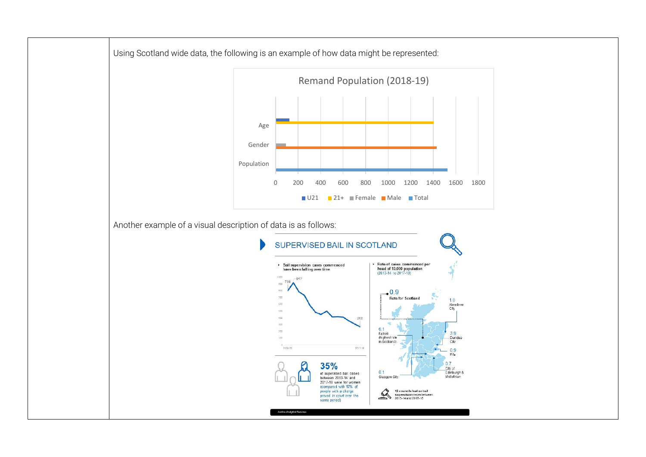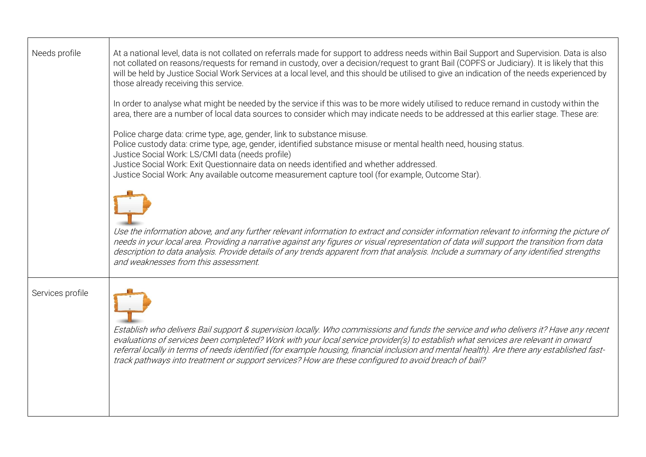| Needs profile    | At a national level, data is not collated on referrals made for support to address needs within Bail Support and Supervision. Data is also<br>not collated on reasons/requests for remand in custody, over a decision/request to grant Bail (COPFS or Judiciary). It is likely that this<br>will be held by Justice Social Work Services at a local level, and this should be utilised to give an indication of the needs experienced by<br>those already receiving this service.<br>In order to analyse what might be needed by the service if this was to be more widely utilised to reduce remand in custody within the |
|------------------|----------------------------------------------------------------------------------------------------------------------------------------------------------------------------------------------------------------------------------------------------------------------------------------------------------------------------------------------------------------------------------------------------------------------------------------------------------------------------------------------------------------------------------------------------------------------------------------------------------------------------|
|                  | area, there are a number of local data sources to consider which may indicate needs to be addressed at this earlier stage. These are:<br>Police charge data: crime type, age, gender, link to substance misuse.<br>Police custody data: crime type, age, gender, identified substance misuse or mental health need, housing status.<br>Justice Social Work: LS/CMI data (needs profile)<br>Justice Social Work: Exit Questionnaire data on needs identified and whether addressed.<br>Justice Social Work: Any available outcome measurement capture tool (for example, Outcome Star).                                     |
|                  | Use the information above, and any further relevant information to extract and consider information relevant to informing the picture of<br>needs in your local area. Providing a narrative against any figures or visual representation of data will support the transition from data<br>description to data analysis. Provide details of any trends apparent from that analysis. Include a summary of any identified strengths<br>and weaknesses from this assessment.                                                                                                                                                   |
| Services profile | Establish who delivers Bail support & supervision locally. Who commissions and funds the service and who delivers it? Have any recent<br>evaluations of services been completed? Work with your local service provider(s) to establish what services are relevant in onward<br>referral locally in terms of needs identified (for example housing, financial inclusion and mental health). Are there any established fast-<br>track pathways into treatment or support services? How are these configured to avoid breach of bail?                                                                                         |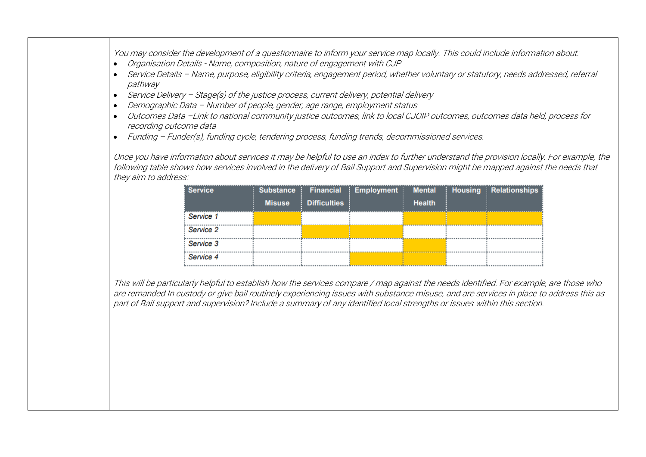You may consider the development of a questionnaire to inform your service map locally. This could include information about:

- Organisation Details Name, composition, nature of engagement with CJP
- Service Details Name, purpose, eligibility criteria, engagement period, whether voluntary or statutory, needs addressed, referral pathway
- Service Delivery Stage(s) of the justice process, current delivery, potential delivery
- Demographic Data Number of people, gender, age range, employment status
- Outcomes Data –Link to national community justice outcomes, link to local CJOIP outcomes, outcomes data held, process for recording outcome data
- Funding Funder(s), funding cycle, tendering process, funding trends, decommissioned services.

Once you have information about services it may be helpful to use an index to further understand the provision locally. For example, the following table shows how services involved in the delivery of Bail Support and Supervision might be mapped against the needs that they aim to address:

| <b>Service</b> | <b>Substance</b> |                     | Financial   Employment | <b>Mental</b> | Housing Relationships |
|----------------|------------------|---------------------|------------------------|---------------|-----------------------|
|                | <b>Misuse</b>    | <b>Difficulties</b> |                        | <b>Health</b> |                       |
| Service 1      |                  |                     |                        |               |                       |
| Service 2      |                  |                     |                        |               |                       |
| Service 3      |                  |                     |                        |               |                       |
| Service 4      |                  |                     |                        |               |                       |

This will be particularly helpful to establish how the services compare / map against the needs identified. For example, are those who are remanded In custody or give bail routinely experiencing issues with substance misuse, and are services in place to address this as part of Bail support and supervision? Include a summary of any identified local strengths or issues within this section.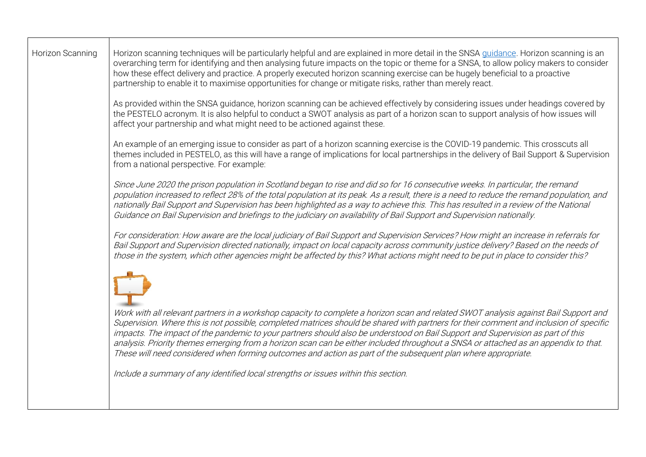| Horizon scanning techniques will be particularly helpful and are explained in more detail in the SNSA guidance. Horizon scanning is an<br>overarching term for identifying and then analysing future impacts on the topic or theme for a SNSA, to allow policy makers to consider<br>how these effect delivery and practice. A properly executed horizon scanning exercise can be hugely beneficial to a proactive<br>partnership to enable it to maximise opportunities for change or mitigate risks, rather than merely react.                                                                                                                                                                                                                               |
|----------------------------------------------------------------------------------------------------------------------------------------------------------------------------------------------------------------------------------------------------------------------------------------------------------------------------------------------------------------------------------------------------------------------------------------------------------------------------------------------------------------------------------------------------------------------------------------------------------------------------------------------------------------------------------------------------------------------------------------------------------------|
| As provided within the SNSA guidance, horizon scanning can be achieved effectively by considering issues under headings covered by<br>the PESTELO acronym. It is also helpful to conduct a SWOT analysis as part of a horizon scan to support analysis of how issues will<br>affect your partnership and what might need to be actioned against these.                                                                                                                                                                                                                                                                                                                                                                                                         |
| An example of an emerging issue to consider as part of a horizon scanning exercise is the COVID-19 pandemic. This crosscuts all<br>themes included in PESTELO, as this will have a range of implications for local partnerships in the delivery of Bail Support & Supervision<br>from a national perspective. For example:                                                                                                                                                                                                                                                                                                                                                                                                                                     |
| Since June 2020 the prison population in Scotland began to rise and did so for 16 consecutive weeks. In particular, the remand<br>population increased to reflect 28% of the total population at its peak. As a result, there is a need to reduce the remand population, and<br>nationally Bail Support and Supervision has been highlighted as a way to achieve this. This has resulted in a review of the National<br>Guidance on Bail Supervision and briefings to the judiciary on availability of Bail Support and Supervision nationally.                                                                                                                                                                                                                |
| For consideration: How aware are the local judiciary of Bail Support and Supervision Services? How might an increase in referrals for<br>Bail Support and Supervision directed nationally, impact on local capacity across community justice delivery? Based on the needs of<br>those in the system, which other agencies might be affected by this? What actions might need to be put in place to consider this?                                                                                                                                                                                                                                                                                                                                              |
| Work with all relevant partners in a workshop capacity to complete a horizon scan and related SWOT analysis against Bail Support and<br>Supervision. Where this is not possible, completed matrices should be shared with partners for their comment and inclusion of specific<br>impacts. The impact of the pandemic to your partners should also be understood on Bail Support and Supervision as part of this<br>analysis. Priority themes emerging from a horizon scan can be either included throughout a SNSA or attached as an appendix to that.<br>These will need considered when forming outcomes and action as part of the subsequent plan where appropriate.<br>Include a summary of any identified local strengths or issues within this section. |
|                                                                                                                                                                                                                                                                                                                                                                                                                                                                                                                                                                                                                                                                                                                                                                |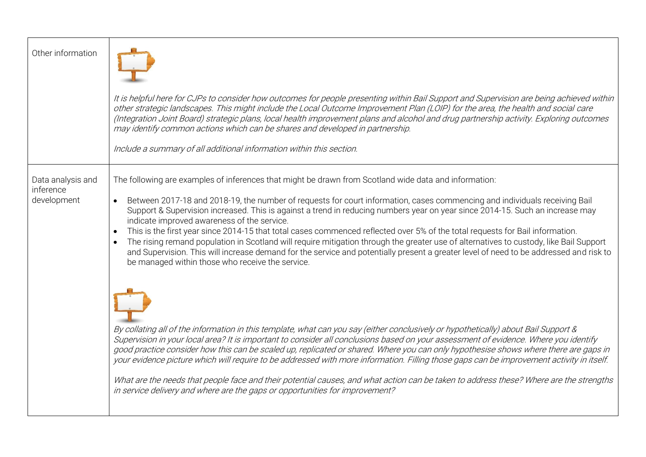| Other information                             | It is helpful here for CJPs to consider how outcomes for people presenting within Bail Support and Supervision are being achieved within<br>other strategic landscapes. This might include the Local Outcome Improvement Plan (LOIP) for the area, the health and social care<br>(Integration Joint Board) strategic plans, local health improvement plans and alcohol and drug partnership activity. Exploring outcomes<br>may identify common actions which can be shares and developed in partnership.                                                                                                                                                                                                                                                                                                                                                                                                              |
|-----------------------------------------------|------------------------------------------------------------------------------------------------------------------------------------------------------------------------------------------------------------------------------------------------------------------------------------------------------------------------------------------------------------------------------------------------------------------------------------------------------------------------------------------------------------------------------------------------------------------------------------------------------------------------------------------------------------------------------------------------------------------------------------------------------------------------------------------------------------------------------------------------------------------------------------------------------------------------|
|                                               | Include a summary of all additional information within this section.                                                                                                                                                                                                                                                                                                                                                                                                                                                                                                                                                                                                                                                                                                                                                                                                                                                   |
| Data analysis and<br>inference<br>development | The following are examples of inferences that might be drawn from Scotland wide data and information:<br>Between 2017-18 and 2018-19, the number of requests for court information, cases commencing and individuals receiving Bail<br>$\bullet$<br>Support & Supervision increased. This is against a trend in reducing numbers year on year since 2014-15. Such an increase may<br>indicate improved awareness of the service.<br>This is the first year since 2014-15 that total cases commenced reflected over 5% of the total requests for Bail information.<br>$\bullet$<br>The rising remand population in Scotland will require mitigation through the greater use of alternatives to custody, like Bail Support<br>and Supervision. This will increase demand for the service and potentially present a greater level of need to be addressed and risk to<br>be managed within those who receive the service. |
|                                               | By collating all of the information in this template, what can you say (either conclusively or hypothetically) about Bail Support &<br>Supervision in your local area? It is important to consider all conclusions based on your assessment of evidence. Where you identify<br>good practice consider how this can be scaled up, replicated or shared. Where you can only hypothesise shows where there are gaps in<br>your evidence picture which will require to be addressed with more information. Filling those gaps can be improvement activity in itself.<br>What are the needs that people face and their potential causes, and what action can be taken to address these? Where are the strengths<br>in service delivery and where are the gaps or opportunities for improvement?                                                                                                                             |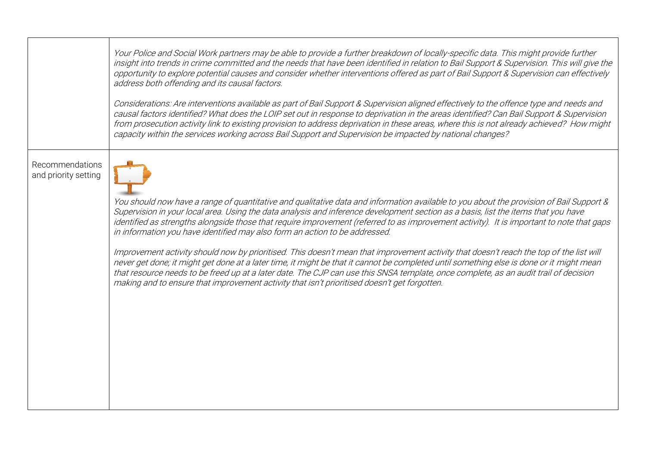Your Police and Social Work partners may be able to provide a further breakdown of locally-specific data. This might provide further insight into trends in crime committed and the needs that have been identified in relation to Bail Support & Supervision. This will give the opportunity to explore potential causes and consider whether interventions offered as part of Bail Support & Supervision can effectively address both offending and its causal factors.

Considerations: Are interventions available as part of Bail Support & Supervision aligned effectively to the offence type and needs and causal factors identified? What does the LOIP set out in response to deprivation in the areas identified? Can Bail Support & Supervision from prosecution activity link to existing provision to address deprivation in these areas, where this is not already achieved? How might capacity within the services working across Bail Support and Supervision be impacted by national changes?

Recommendations and priority setting



You should now have a range of quantitative and qualitative data and information available to you about the provision of Bail Support & Supervision in your local area. Using the data analysis and inference development section as a basis, list the items that you have identified as strengths alongside those that require improvement (referred to as improvement activity). It is important to note that gaps in information you have identified may also form an action to be addressed.

Improvement activity should now by prioritised. This doesn't mean that improvement activity that doesn't reach the top of the list will never get done; it might get done at a later time, it might be that it cannot be completed until something else is done or it might mean that resource needs to be freed up at a later date. The CJP can use this SNSA template, once complete, as an audit trail of decision making and to ensure that improvement activity that isn't prioritised doesn't get forgotten.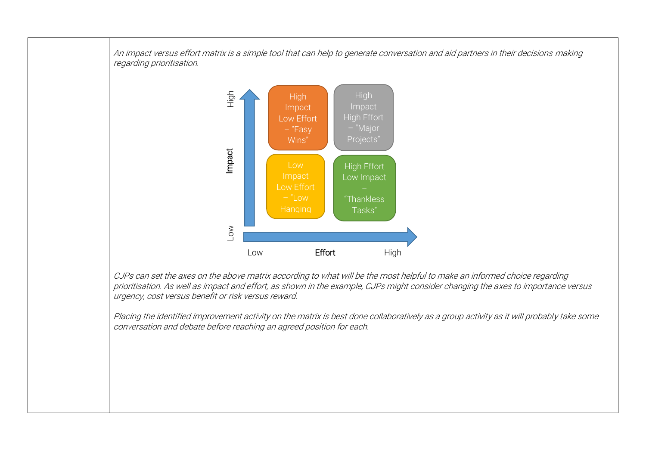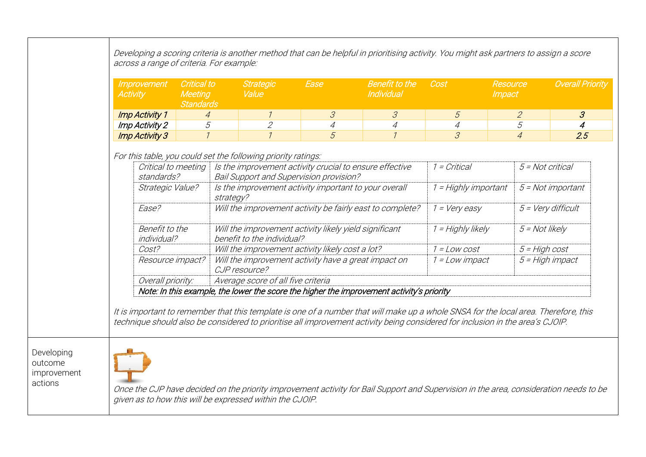| Improvement<br><b>Activity</b>    | Critical to<br><b>Meeting</b><br><b>Standards</b> |                                                                                                                                                                            | <b>Strategic</b><br>Value                                                            | Ease           | <b>Benefit to the</b><br>Individual                                                                                                                                                                                                                                    | Cost                     | Resource<br><i><b>Impact</b></i> |                | <b>Overall Priority</b>     |
|-----------------------------------|---------------------------------------------------|----------------------------------------------------------------------------------------------------------------------------------------------------------------------------|--------------------------------------------------------------------------------------|----------------|------------------------------------------------------------------------------------------------------------------------------------------------------------------------------------------------------------------------------------------------------------------------|--------------------------|----------------------------------|----------------|-----------------------------|
| <b>Imp Activity 1</b>             | $\overline{4}$                                    |                                                                                                                                                                            | $\mathcal{I}$                                                                        | $\mathcal{S}$  | $\mathcal S$                                                                                                                                                                                                                                                           | 5                        |                                  | $\mathcal{Z}$  | $\mathcal{S}_{\mathcal{S}}$ |
| Imp Activity 2                    | 5                                                 |                                                                                                                                                                            | $\overline{2}$                                                                       | $\overline{4}$ | $\overline{4}$                                                                                                                                                                                                                                                         | $\overline{4}$           |                                  | 5              | 4                           |
| <b>Imp Activity 3</b>             | $\mathcal I$                                      |                                                                                                                                                                            | $\overline{1}$                                                                       | 5              | $\mathcal{I}$                                                                                                                                                                                                                                                          | $\overline{\mathcal{S}}$ |                                  | $\overline{4}$ | 2.5                         |
| Critical to meeting<br>standards? |                                                   | For this table, you could set the following priority ratings:<br>Is the improvement activity crucial to ensure effective<br><b>Bail Support and Supervision provision?</b> |                                                                                      |                | 1 = Critical                                                                                                                                                                                                                                                           |                          | 5 = Not critical                 |                |                             |
| Strategic Value?                  |                                                   | Is the improvement activity important to your overall<br>strategy?                                                                                                         |                                                                                      |                |                                                                                                                                                                                                                                                                        |                          | 1 = Highly important             |                | 5 = Not important           |
| Ease?                             | Benefit to the<br>individual?                     |                                                                                                                                                                            | Will the improvement activity be fairly east to complete?                            |                |                                                                                                                                                                                                                                                                        |                          | $1 = Very easy$                  |                | $5 = \text{Very difficult}$ |
|                                   |                                                   |                                                                                                                                                                            | Will the improvement activity likely yield significant<br>benefit to the individual? |                |                                                                                                                                                                                                                                                                        |                          | 1 = Highly likely                |                | $5 = Not$ likely            |
| Cost?                             |                                                   | Will the improvement activity likely cost a lot?                                                                                                                           |                                                                                      |                |                                                                                                                                                                                                                                                                        | $1 = Low cost$           |                                  |                | $5 = High cost$             |
| Resource impact?                  |                                                   |                                                                                                                                                                            | CJP resource?                                                                        |                | Will the improvement activity have a great impact on                                                                                                                                                                                                                   | 1 = Low impact           |                                  |                | 5 = High impact             |
| Overall priority:                 |                                                   |                                                                                                                                                                            | Average score of all five criteria                                                   |                |                                                                                                                                                                                                                                                                        |                          |                                  |                |                             |
|                                   |                                                   |                                                                                                                                                                            |                                                                                      |                | Note: In this example, the lower the score the higher the improvement activity's priority                                                                                                                                                                              |                          |                                  |                |                             |
|                                   |                                                   |                                                                                                                                                                            |                                                                                      |                | It is important to remember that this template is one of a number that will make up a whole SNSA for the local area. Therefore, this<br>technique should also be considered to prioritise all improvement activity being considered for inclusion in the area's CJOIP. |                          |                                  |                |                             |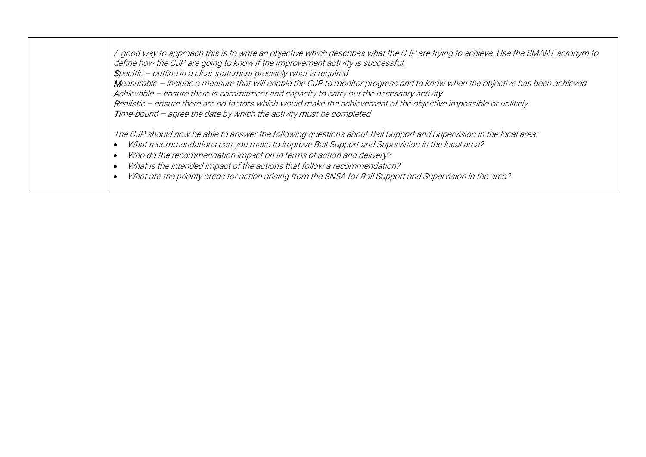A good way to approach this is to write an objective which describes what the CJP are trying to achieve. Use the SMART acronym to define how the CJP are going to know if the improvement activity is successful: Specific – outline in a clear statement precisely what is required Measurable – include a measure that will enable the CJP to monitor progress and to know when the objective has been achieved Achievable – ensure there is commitment and capacity to carry out the necessary activity Realistic – ensure there are no factors which would make the achievement of the objective impossible or unlikely Time-bound – agree the date by which the activity must be completed The CJP should now be able to answer the following questions about Bail Support and Supervision in the local area: What recommendations can you make to improve Bail Support and Supervision in the local area? Who do the recommendation impact on in terms of action and delivery? What is the intended impact of the actions that follow a recommendation? What are the priority areas for action arising from the SNSA for Bail Support and Supervision in the area?